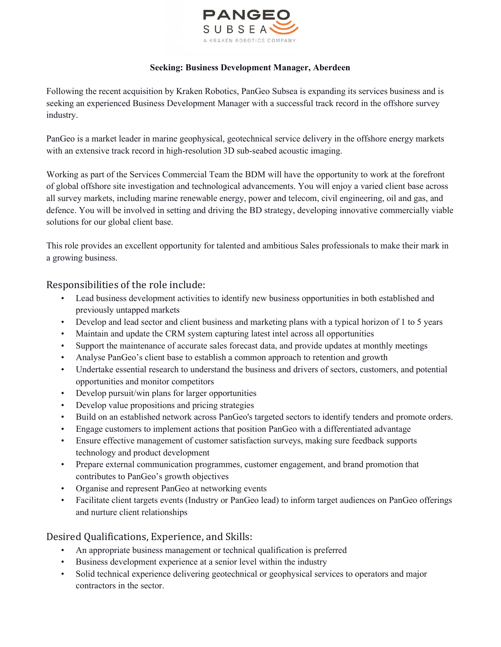

## **Seeking: Business Development Manager, Aberdeen**

Following the recent acquisition by Kraken Robotics, PanGeo Subsea is expanding its services business and is seeking an experienced Business Development Manager with a successful track record in the offshore survey industry.

PanGeo is a market leader in marine geophysical, geotechnical service delivery in the offshore energy markets with an extensive track record in high-resolution 3D sub-seabed acoustic imaging.

Working as part of the Services Commercial Team the BDM will have the opportunity to work at the forefront of global offshore site investigation and technological advancements. You will enjoy a varied client base across all survey markets, including marine renewable energy, power and telecom, civil engineering, oil and gas, and defence. You will be involved in setting and driving the BD strategy, developing innovative commercially viable solutions for our global client base.

This role provides an excellent opportunity for talented and ambitious Sales professionals to make their mark in a growing business.

## Responsibilities of the role include:

- Lead business development activities to identify new business opportunities in both established and previously untapped markets
- Develop and lead sector and client business and marketing plans with a typical horizon of 1 to 5 years
- Maintain and update the CRM system capturing latest intel across all opportunities
- Support the maintenance of accurate sales forecast data, and provide updates at monthly meetings
- Analyse PanGeo's client base to establish a common approach to retention and growth
- Undertake essential research to understand the business and drivers of sectors, customers, and potential opportunities and monitor competitors
- Develop pursuit/win plans for larger opportunities
- Develop value propositions and pricing strategies
- Build on an established network across PanGeo's targeted sectors to identify tenders and promote orders.
- Engage customers to implement actions that position PanGeo with a differentiated advantage
- Ensure effective management of customer satisfaction surveys, making sure feedback supports technology and product development
- Prepare external communication programmes, customer engagement, and brand promotion that contributes to PanGeo's growth objectives
- Organise and represent PanGeo at networking events
- Facilitate client targets events (Industry or PanGeo lead) to inform target audiences on PanGeo offerings and nurture client relationships

## Desired Qualifications, Experience, and Skills:

- An appropriate business management or technical qualification is preferred
- Business development experience at a senior level within the industry
- Solid technical experience delivering geotechnical or geophysical services to operators and major contractors in the sector.